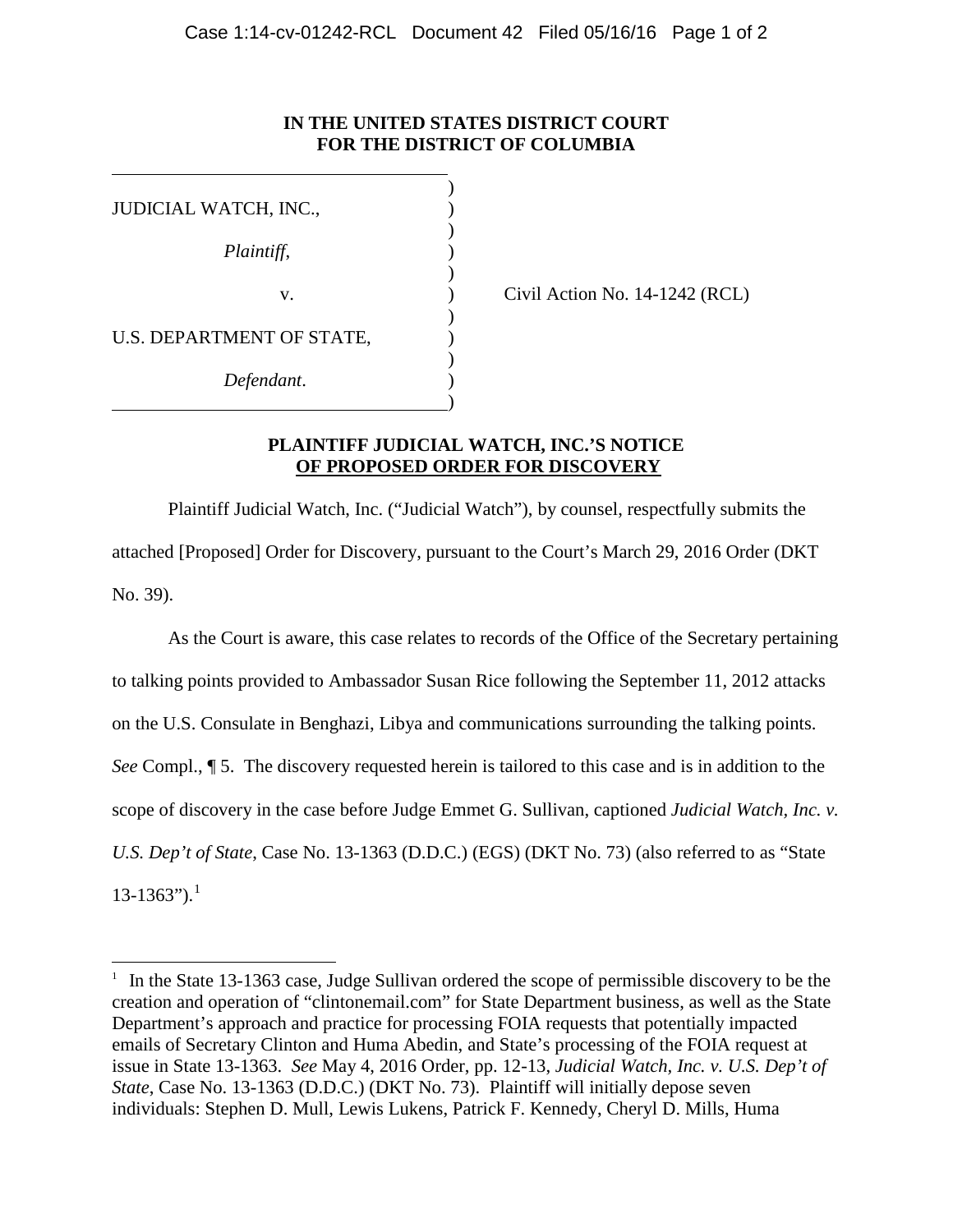#### **IN THE UNITED STATES DISTRICT COURT FOR THE DISTRICT OF COLUMBIA**

| JUDICIAL WATCH, INC.,     |  |
|---------------------------|--|
|                           |  |
| Plaintiff,                |  |
|                           |  |
| V.                        |  |
|                           |  |
| U.S. DEPARTMENT OF STATE, |  |
|                           |  |
| Defendant.                |  |
|                           |  |

 $\overline{a}$ 

Civil Action No.  $14-1242$  (RCL)

# **PLAINTIFF JUDICIAL WATCH, INC.'S NOTICE OF PROPOSED ORDER FOR DISCOVERY**

Plaintiff Judicial Watch, Inc. ("Judicial Watch"), by counsel, respectfully submits the attached [Proposed] Order for Discovery, pursuant to the Court's March 29, 2016 Order (DKT No. 39).

As the Court is aware, this case relates to records of the Office of the Secretary pertaining to talking points provided to Ambassador Susan Rice following the September 11, 2012 attacks on the U.S. Consulate in Benghazi, Libya and communications surrounding the talking points. *See* Compl., ¶ 5. The discovery requested herein is tailored to this case and is in addition to the scope of discovery in the case before Judge Emmet G. Sullivan, captioned *Judicial Watch, Inc. v. U.S. Dep't of State*, Case No. 13-1363 (D.D.C.) (EGS) (DKT No. 73) (also referred to as "State  $13-1363$  $13-1363$ ").<sup>1</sup>

<span id="page-0-0"></span><sup>&</sup>lt;sup>1</sup> In the State 13-1363 case, Judge Sullivan ordered the scope of permissible discovery to be the creation and operation of "clintonemail.com" for State Department business, as well as the State Department's approach and practice for processing FOIA requests that potentially impacted emails of Secretary Clinton and Huma Abedin, and State's processing of the FOIA request at issue in State 13-1363. *See* May 4, 2016 Order, pp. 12-13, *Judicial Watch, Inc. v. U.S. Dep't of State*, Case No. 13-1363 (D.D.C.) (DKT No. 73). Plaintiff will initially depose seven individuals: Stephen D. Mull, Lewis Lukens, Patrick F. Kennedy, Cheryl D. Mills, Huma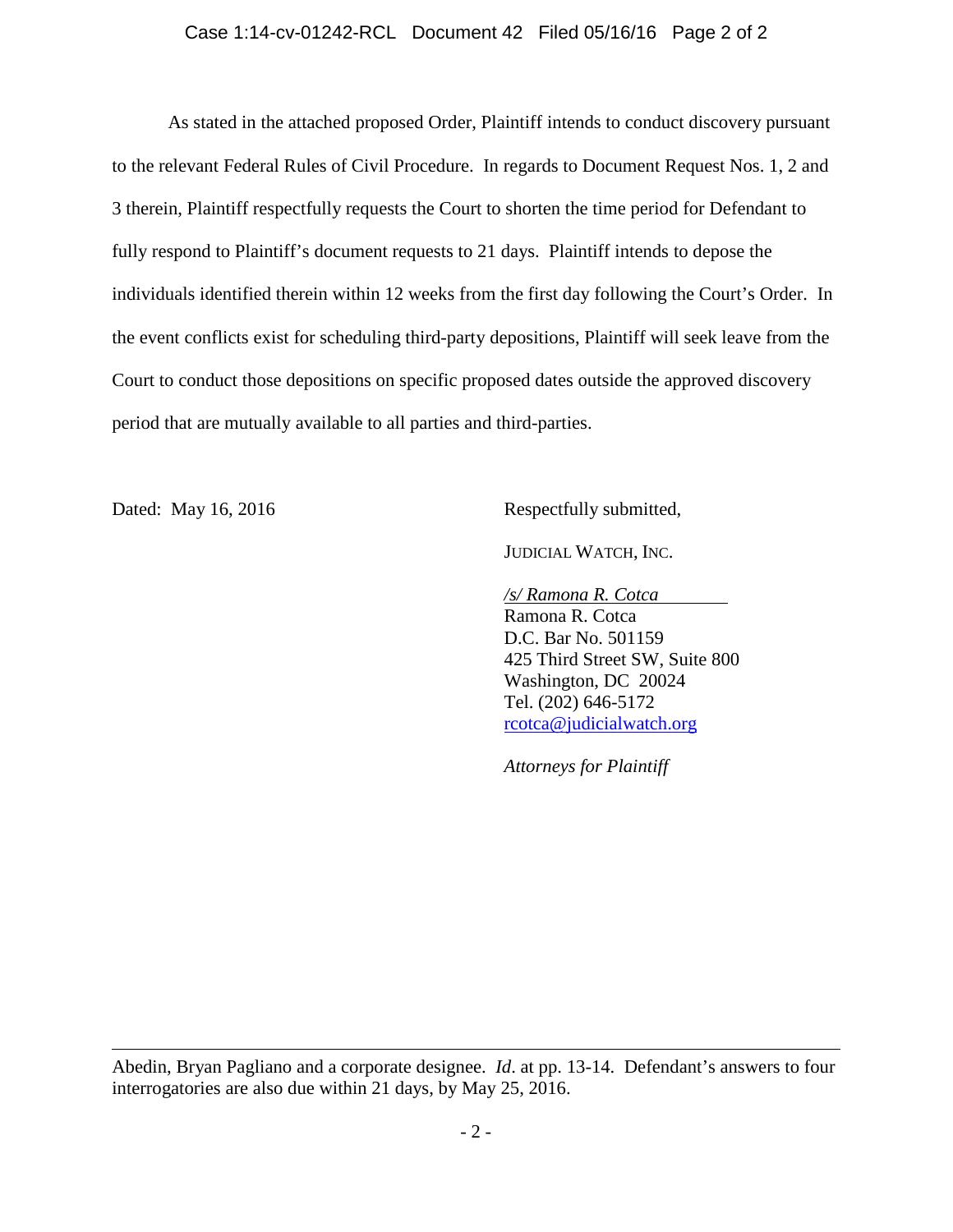#### Case 1:14-cv-01242-RCL Document 42 Filed 05/16/16 Page 2 of 2

As stated in the attached proposed Order, Plaintiff intends to conduct discovery pursuant to the relevant Federal Rules of Civil Procedure. In regards to Document Request Nos. 1, 2 and 3 therein, Plaintiff respectfully requests the Court to shorten the time period for Defendant to fully respond to Plaintiff's document requests to 21 days. Plaintiff intends to depose the individuals identified therein within 12 weeks from the first day following the Court's Order. In the event conflicts exist for scheduling third-party depositions, Plaintiff will seek leave from the Court to conduct those depositions on specific proposed dates outside the approved discovery period that are mutually available to all parties and third-parties.

 $\overline{a}$ 

Dated: May 16, 2016 Respectfully submitted,

JUDICIAL WATCH, INC.

*/s/ Ramona R. Cotca*

Ramona R. Cotca D.C. Bar No. 501159 425 Third Street SW, Suite 800 Washington, DC 20024 Tel. (202) 646-5172 [rcotca@judicialwatch.org](mailto:rcotca@judicialwatch.org)

*Attorneys for Plaintiff*

Abedin, Bryan Pagliano and a corporate designee. *Id*. at pp. 13-14. Defendant's answers to four interrogatories are also due within 21 days, by May 25, 2016.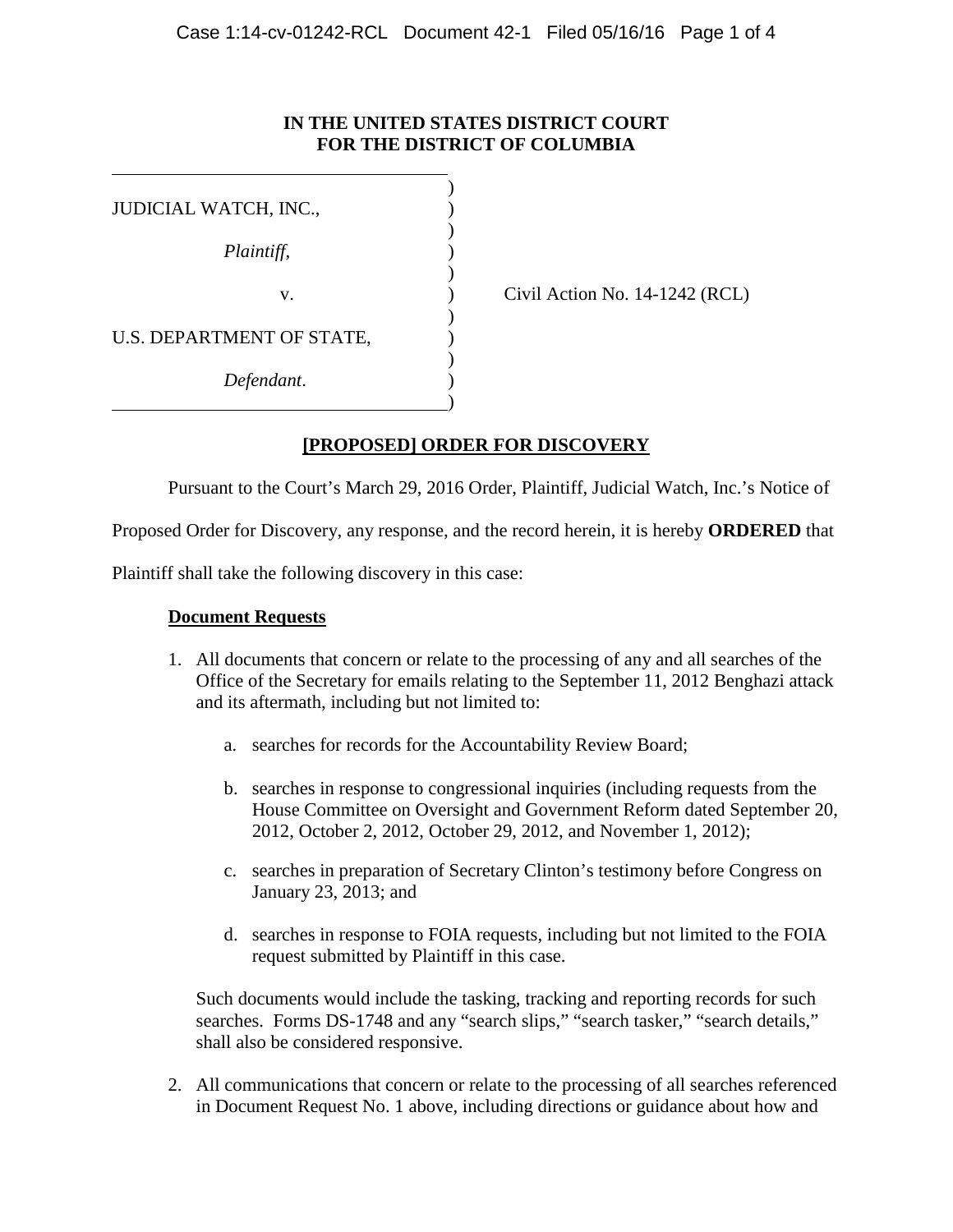## **IN THE UNITED STATES DISTRICT COURT FOR THE DISTRICT OF COLUMBIA**

| JUDICIAL WATCH, INC.,     |  |
|---------------------------|--|
| Plaintiff,                |  |
|                           |  |
| v.                        |  |
|                           |  |
| U.S. DEPARTMENT OF STATE, |  |
|                           |  |
| Defendant.                |  |
|                           |  |

Civil Action No.  $14-1242$  (RCL)

## **[PROPOSED] ORDER FOR DISCOVERY**

Pursuant to the Court's March 29, 2016 Order, Plaintiff, Judicial Watch, Inc.'s Notice of

Proposed Order for Discovery, any response, and the record herein, it is hereby **ORDERED** that

Plaintiff shall take the following discovery in this case:

#### **Document Requests**

- 1. All documents that concern or relate to the processing of any and all searches of the Office of the Secretary for emails relating to the September 11, 2012 Benghazi attack and its aftermath, including but not limited to:
	- a. searches for records for the Accountability Review Board;
	- b. searches in response to congressional inquiries (including requests from the House Committee on Oversight and Government Reform dated September 20, 2012, October 2, 2012, October 29, 2012, and November 1, 2012);
	- c. searches in preparation of Secretary Clinton's testimony before Congress on January 23, 2013; and
	- d. searches in response to FOIA requests, including but not limited to the FOIA request submitted by Plaintiff in this case.

Such documents would include the tasking, tracking and reporting records for such searches. Forms DS-1748 and any "search slips," "search tasker," "search details," shall also be considered responsive.

2. All communications that concern or relate to the processing of all searches referenced in Document Request No. 1 above, including directions or guidance about how and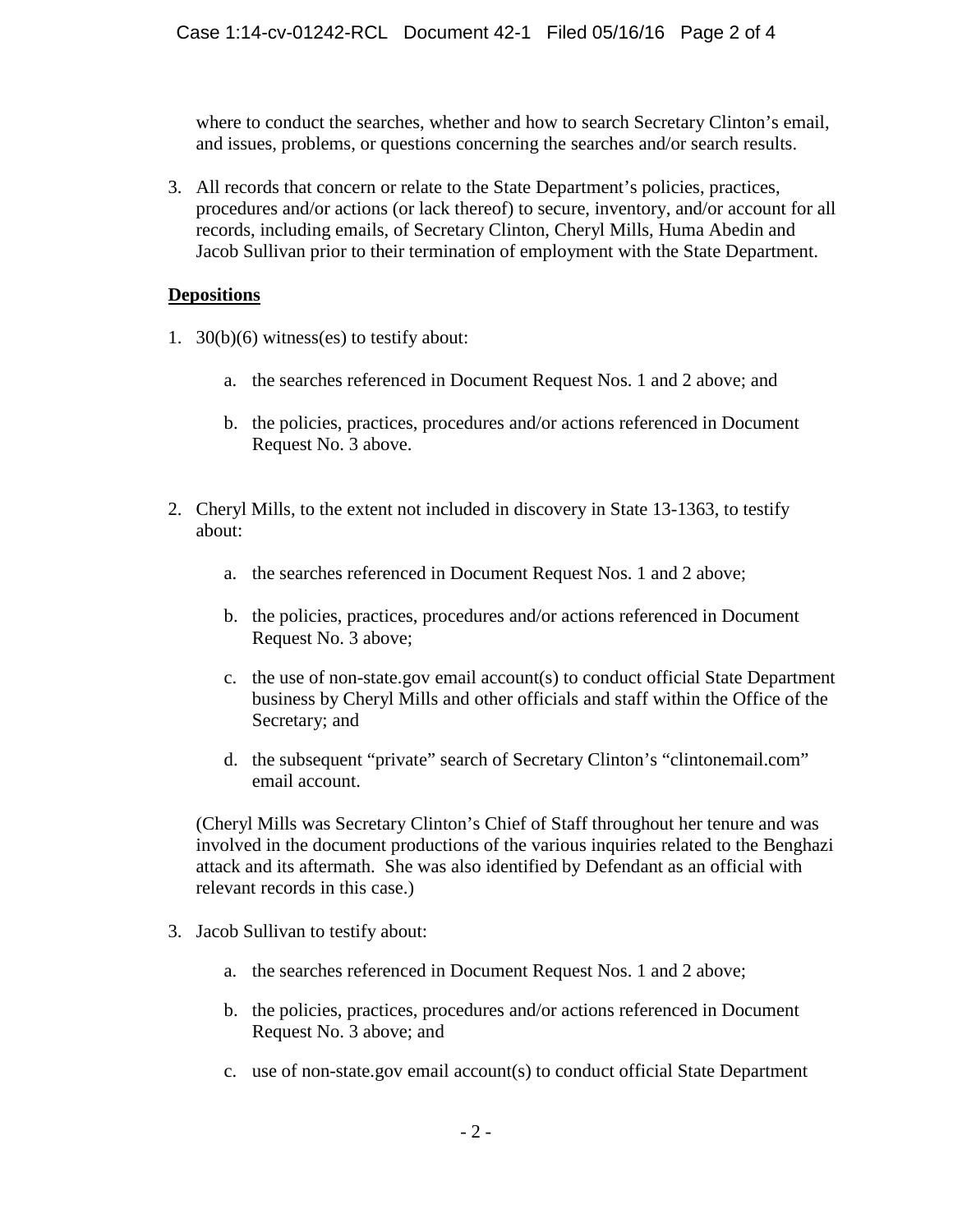where to conduct the searches, whether and how to search Secretary Clinton's email, and issues, problems, or questions concerning the searches and/or search results.

3. All records that concern or relate to the State Department's policies, practices, procedures and/or actions (or lack thereof) to secure, inventory, and/or account for all records, including emails, of Secretary Clinton, Cheryl Mills, Huma Abedin and Jacob Sullivan prior to their termination of employment with the State Department.

#### **Depositions**

- 1. 30(b)(6) witness(es) to testify about:
	- a. the searches referenced in Document Request Nos. 1 and 2 above; and
	- b. the policies, practices, procedures and/or actions referenced in Document Request No. 3 above.
- 2. Cheryl Mills, to the extent not included in discovery in State 13-1363, to testify about:
	- a. the searches referenced in Document Request Nos. 1 and 2 above;
	- b. the policies, practices, procedures and/or actions referenced in Document Request No. 3 above;
	- c. the use of non-state.gov email account(s) to conduct official State Department business by Cheryl Mills and other officials and staff within the Office of the Secretary; and
	- d. the subsequent "private" search of Secretary Clinton's "clintonemail.com" email account.

(Cheryl Mills was Secretary Clinton's Chief of Staff throughout her tenure and was involved in the document productions of the various inquiries related to the Benghazi attack and its aftermath. She was also identified by Defendant as an official with relevant records in this case.)

- 3. Jacob Sullivan to testify about:
	- a. the searches referenced in Document Request Nos. 1 and 2 above;
	- b. the policies, practices, procedures and/or actions referenced in Document Request No. 3 above; and
	- c. use of non-state.gov email account(s) to conduct official State Department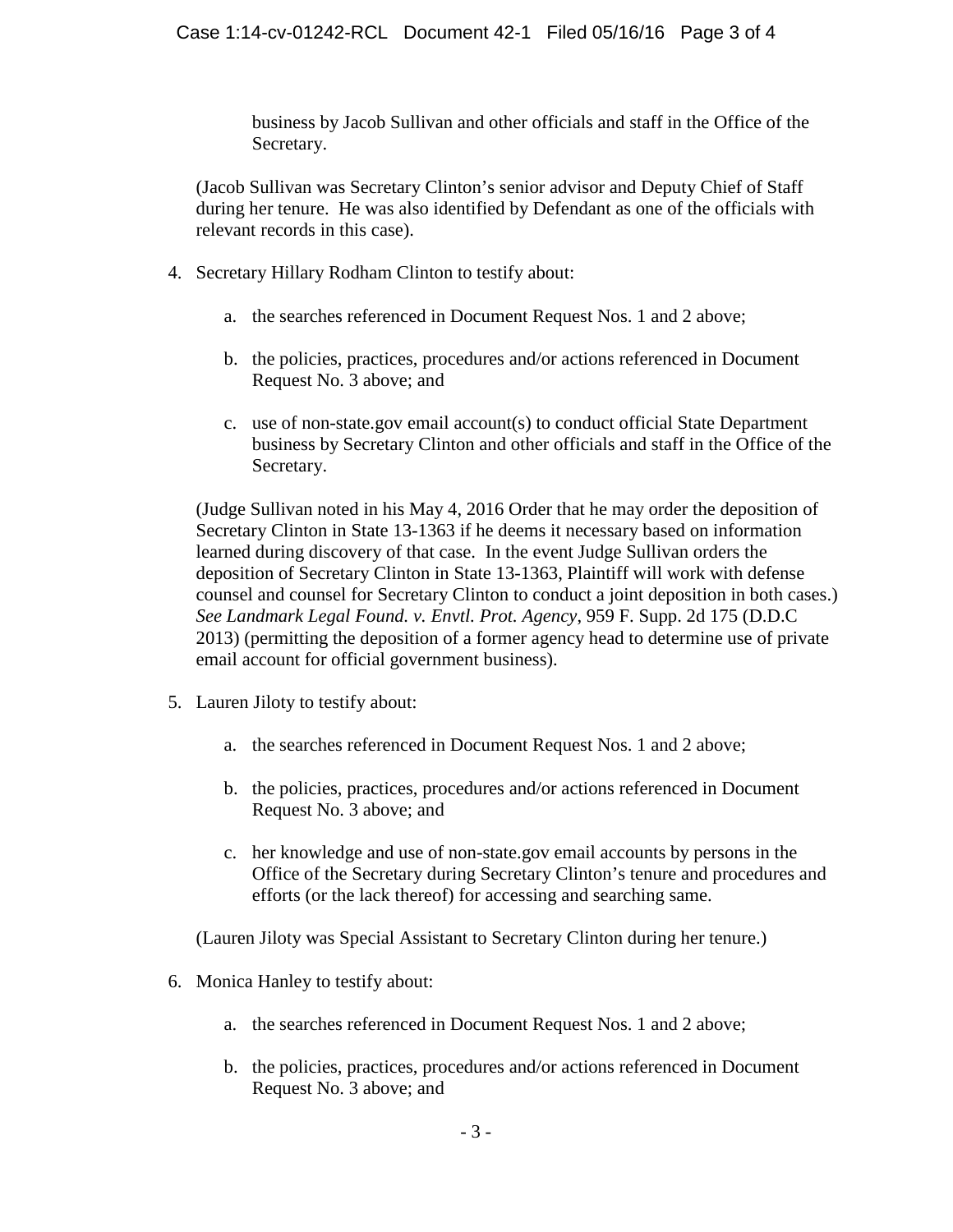business by Jacob Sullivan and other officials and staff in the Office of the Secretary.

(Jacob Sullivan was Secretary Clinton's senior advisor and Deputy Chief of Staff during her tenure. He was also identified by Defendant as one of the officials with relevant records in this case).

- 4. Secretary Hillary Rodham Clinton to testify about:
	- a. the searches referenced in Document Request Nos. 1 and 2 above;
	- b. the policies, practices, procedures and/or actions referenced in Document Request No. 3 above; and
	- c. use of non-state.gov email account(s) to conduct official State Department business by Secretary Clinton and other officials and staff in the Office of the Secretary.

(Judge Sullivan noted in his May 4, 2016 Order that he may order the deposition of Secretary Clinton in State 13-1363 if he deems it necessary based on information learned during discovery of that case. In the event Judge Sullivan orders the deposition of Secretary Clinton in State 13-1363, Plaintiff will work with defense counsel and counsel for Secretary Clinton to conduct a joint deposition in both cases.) *See Landmark Legal Found. v. Envtl. Prot. Agency*, 959 F. Supp. 2d 175 (D.D.C 2013) (permitting the deposition of a former agency head to determine use of private email account for official government business).

- 5. Lauren Jiloty to testify about:
	- a. the searches referenced in Document Request Nos. 1 and 2 above;
	- b. the policies, practices, procedures and/or actions referenced in Document Request No. 3 above; and
	- c. her knowledge and use of non-state.gov email accounts by persons in the Office of the Secretary during Secretary Clinton's tenure and procedures and efforts (or the lack thereof) for accessing and searching same.

(Lauren Jiloty was Special Assistant to Secretary Clinton during her tenure.)

- 6. Monica Hanley to testify about:
	- a. the searches referenced in Document Request Nos. 1 and 2 above;
	- b. the policies, practices, procedures and/or actions referenced in Document Request No. 3 above; and